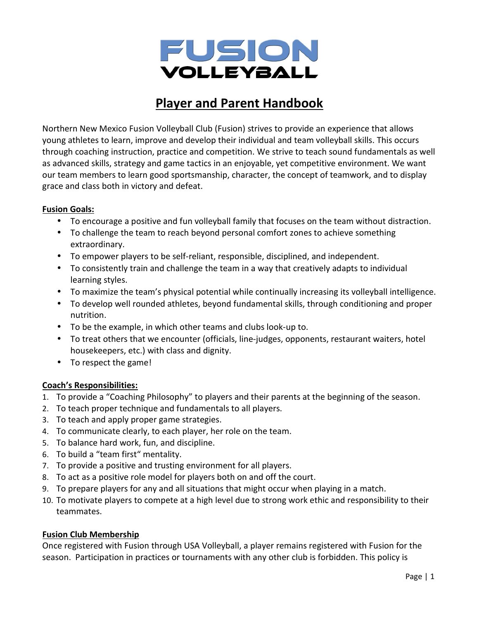

# **Player and Parent Handbook**

Northern New Mexico Fusion Volleyball Club (Fusion) strives to provide an experience that allows young athletes to learn, improve and develop their individual and team volleyball skills. This occurs through coaching instruction, practice and competition. We strive to teach sound fundamentals as well as advanced skills, strategy and game tactics in an enjoyable, yet competitive environment. We want our team members to learn good sportsmanship, character, the concept of teamwork, and to display grace and class both in victory and defeat.

# **Fusion Goals:**

- To encourage a positive and fun volleyball family that focuses on the team without distraction.
- To challenge the team to reach beyond personal comfort zones to achieve something extraordinary.
- To empower players to be self-reliant, responsible, disciplined, and independent.
- To consistently train and challenge the team in a way that creatively adapts to individual learning styles.
- To maximize the team's physical potential while continually increasing its volleyball intelligence.
- To develop well rounded athletes, beyond fundamental skills, through conditioning and proper nutrition.
- To be the example, in which other teams and clubs look-up to.
- To treat others that we encounter (officials, line-judges, opponents, restaurant waiters, hotel housekeepers, etc.) with class and dignity.
- To respect the game!

# **Coach's Responsibilities:**

- 1. To provide a "Coaching Philosophy" to players and their parents at the beginning of the season.
- 2. To teach proper technique and fundamentals to all players.
- 3. To teach and apply proper game strategies.
- 4. To communicate clearly, to each player, her role on the team.
- 5. To balance hard work, fun, and discipline.
- 6. To build a "team first" mentality.
- 7. To provide a positive and trusting environment for all players.
- 8. To act as a positive role model for players both on and off the court.
- 9. To prepare players for any and all situations that might occur when playing in a match.
- 10. To motivate players to compete at a high level due to strong work ethic and responsibility to their teammates.

#### **Fusion Club Membership**

Once registered with Fusion through USA Volleyball, a player remains registered with Fusion for the season. Participation in practices or tournaments with any other club is forbidden. This policy is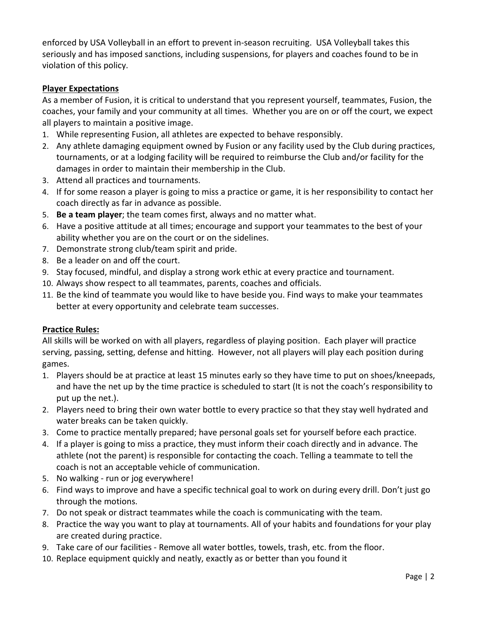enforced by USA Volleyball in an effort to prevent in-season recruiting. USA Volleyball takes this seriously and has imposed sanctions, including suspensions, for players and coaches found to be in violation of this policy.

# **Player Expectations**

As a member of Fusion, it is critical to understand that you represent yourself, teammates, Fusion, the coaches, your family and your community at all times. Whether you are on or off the court, we expect all players to maintain a positive image.

- 1. While representing Fusion, all athletes are expected to behave responsibly.
- 2. Any athlete damaging equipment owned by Fusion or any facility used by the Club during practices, tournaments, or at a lodging facility will be required to reimburse the Club and/or facility for the damages in order to maintain their membership in the Club.
- 3. Attend all practices and tournaments.
- 4. If for some reason a player is going to miss a practice or game, it is her responsibility to contact her coach directly as far in advance as possible.
- 5. **Be a team player**; the team comes first, always and no matter what.
- 6. Have a positive attitude at all times; encourage and support your teammates to the best of your ability whether you are on the court or on the sidelines.
- 7. Demonstrate strong club/team spirit and pride.
- 8. Be a leader on and off the court.
- 9. Stay focused, mindful, and display a strong work ethic at every practice and tournament.
- 10. Always show respect to all teammates, parents, coaches and officials.
- 11. Be the kind of teammate you would like to have beside you. Find ways to make your teammates better at every opportunity and celebrate team successes.

# **Practice Rules:**

All skills will be worked on with all players, regardless of playing position. Each player will practice serving, passing, setting, defense and hitting. However, not all players will play each position during games.

- 1. Players should be at practice at least 15 minutes early so they have time to put on shoes/kneepads, and have the net up by the time practice is scheduled to start (It is not the coach's responsibility to put up the net.).
- 2. Players need to bring their own water bottle to every practice so that they stay well hydrated and water breaks can be taken quickly.
- 3. Come to practice mentally prepared; have personal goals set for yourself before each practice.
- 4. If a player is going to miss a practice, they must inform their coach directly and in advance. The athlete (not the parent) is responsible for contacting the coach. Telling a teammate to tell the coach is not an acceptable vehicle of communication.
- 5. No walking run or jog everywhere!
- 6. Find ways to improve and have a specific technical goal to work on during every drill. Don't just go through the motions.
- 7. Do not speak or distract teammates while the coach is communicating with the team.
- 8. Practice the way you want to play at tournaments. All of your habits and foundations for your play are created during practice.
- 9. Take care of our facilities Remove all water bottles, towels, trash, etc. from the floor.
- 10. Replace equipment quickly and neatly, exactly as or better than you found it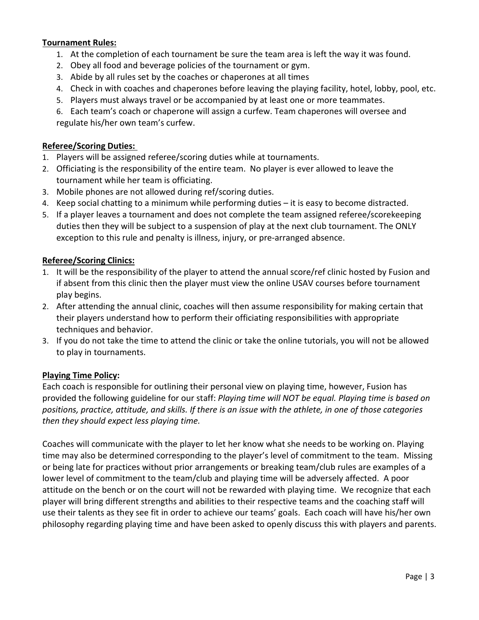#### **Tournament Rules:**

- 1. At the completion of each tournament be sure the team area is left the way it was found.
- 2. Obey all food and beverage policies of the tournament or gym.
- 3. Abide by all rules set by the coaches or chaperones at all times
- 4. Check in with coaches and chaperones before leaving the playing facility, hotel, lobby, pool, etc.
- 5. Players must always travel or be accompanied by at least one or more teammates.
- 6. Each team's coach or chaperone will assign a curfew. Team chaperones will oversee and regulate his/her own team's curfew.

## **Referee/Scoring Duties:**

- 1. Players will be assigned referee/scoring duties while at tournaments.
- 2. Officiating is the responsibility of the entire team. No player is ever allowed to leave the tournament while her team is officiating.
- 3. Mobile phones are not allowed during ref/scoring duties.
- 4. Keep social chatting to a minimum while performing duties it is easy to become distracted.
- 5. If a player leaves a tournament and does not complete the team assigned referee/scorekeeping duties then they will be subject to a suspension of play at the next club tournament. The ONLY exception to this rule and penalty is illness, injury, or pre-arranged absence.

## **Referee/Scoring Clinics:**

- 1. It will be the responsibility of the player to attend the annual score/ref clinic hosted by Fusion and if absent from this clinic then the player must view the online USAV courses before tournament play begins.
- 2. After attending the annual clinic, coaches will then assume responsibility for making certain that their players understand how to perform their officiating responsibilities with appropriate techniques and behavior.
- 3. If you do not take the time to attend the clinic or take the online tutorials, you will not be allowed to play in tournaments.

#### **Playing Time Policy:**

Each coach is responsible for outlining their personal view on playing time, however, Fusion has provided the following guideline for our staff: *Playing time will NOT be equal. Playing time is based on positions, practice, attitude, and skills. If there is an issue with the athlete, in one of those categories then they should expect less playing time.*

Coaches will communicate with the player to let her know what she needs to be working on. Playing time may also be determined corresponding to the player's level of commitment to the team. Missing or being late for practices without prior arrangements or breaking team/club rules are examples of a lower level of commitment to the team/club and playing time will be adversely affected. A poor attitude on the bench or on the court will not be rewarded with playing time. We recognize that each player will bring different strengths and abilities to their respective teams and the coaching staff will use their talents as they see fit in order to achieve our teams' goals. Each coach will have his/her own philosophy regarding playing time and have been asked to openly discuss this with players and parents.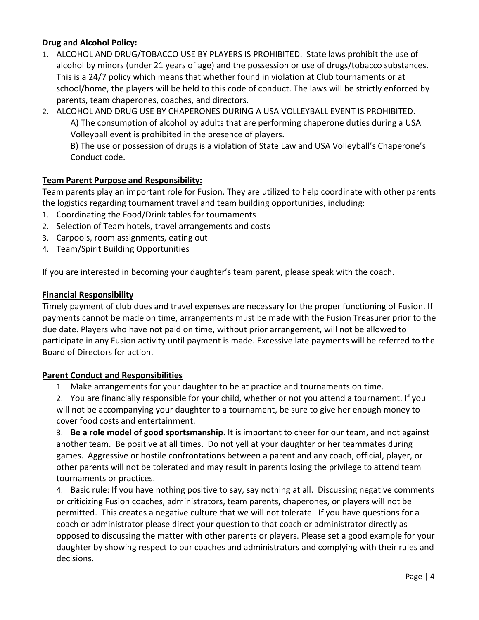# **Drug and Alcohol Policy:**

- 1. ALCOHOL AND DRUG/TOBACCO USE BY PLAYERS IS PROHIBITED. State laws prohibit the use of alcohol by minors (under 21 years of age) and the possession or use of drugs/tobacco substances. This is a 24/7 policy which means that whether found in violation at Club tournaments or at school/home, the players will be held to this code of conduct. The laws will be strictly enforced by parents, team chaperones, coaches, and directors.
- 2. ALCOHOL AND DRUG USE BY CHAPERONES DURING A USA VOLLEYBALL EVENT IS PROHIBITED. A) The consumption of alcohol by adults that are performing chaperone duties during a USA Volleyball event is prohibited in the presence of players.

B) The use or possession of drugs is a violation of State Law and USA Volleyball's Chaperone's Conduct code.

## **Team Parent Purpose and Responsibility:**

Team parents play an important role for Fusion. They are utilized to help coordinate with other parents the logistics regarding tournament travel and team building opportunities, including:

- 1. Coordinating the Food/Drink tables for tournaments
- 2. Selection of Team hotels, travel arrangements and costs
- 3. Carpools, room assignments, eating out
- 4. Team/Spirit Building Opportunities

If you are interested in becoming your daughter's team parent, please speak with the coach.

#### **Financial Responsibility**

Timely payment of club dues and travel expenses are necessary for the proper functioning of Fusion. If payments cannot be made on time, arrangements must be made with the Fusion Treasurer prior to the due date. Players who have not paid on time, without prior arrangement, will not be allowed to participate in any Fusion activity until payment is made. Excessive late payments will be referred to the Board of Directors for action.

#### **Parent Conduct and Responsibilities**

1. Make arrangements for your daughter to be at practice and tournaments on time.

2. You are financially responsible for your child, whether or not you attend a tournament. If you will not be accompanying your daughter to a tournament, be sure to give her enough money to cover food costs and entertainment.

3. **Be a role model of good sportsmanship**. It is important to cheer for our team, and not against another team. Be positive at all times. Do not yell at your daughter or her teammates during games. Aggressive or hostile confrontations between a parent and any coach, official, player, or other parents will not be tolerated and may result in parents losing the privilege to attend team tournaments or practices.

4. Basic rule: If you have nothing positive to say, say nothing at all. Discussing negative comments or criticizing Fusion coaches, administrators, team parents, chaperones, or players will not be permitted. This creates a negative culture that we will not tolerate. If you have questions for a coach or administrator please direct your question to that coach or administrator directly as opposed to discussing the matter with other parents or players. Please set a good example for your daughter by showing respect to our coaches and administrators and complying with their rules and decisions.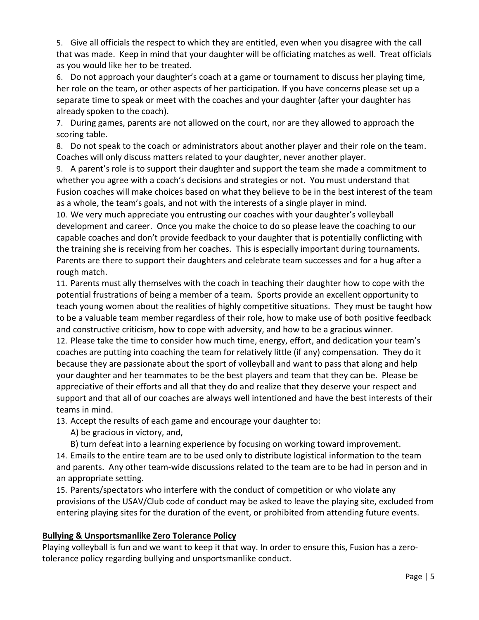5. Give all officials the respect to which they are entitled, even when you disagree with the call that was made. Keep in mind that your daughter will be officiating matches as well. Treat officials as you would like her to be treated.

6. Do not approach your daughter's coach at a game or tournament to discuss her playing time, her role on the team, or other aspects of her participation. If you have concerns please set up a separate time to speak or meet with the coaches and your daughter (after your daughter has already spoken to the coach).

7. During games, parents are not allowed on the court, nor are they allowed to approach the scoring table.

8. Do not speak to the coach or administrators about another player and their role on the team. Coaches will only discuss matters related to your daughter, never another player.

9. A parent's role is to support their daughter and support the team she made a commitment to whether you agree with a coach's decisions and strategies or not. You must understand that Fusion coaches will make choices based on what they believe to be in the best interest of the team as a whole, the team's goals, and not with the interests of a single player in mind.

10. We very much appreciate you entrusting our coaches with your daughter's volleyball development and career. Once you make the choice to do so please leave the coaching to our capable coaches and don't provide feedback to your daughter that is potentially conflicting with the training she is receiving from her coaches. This is especially important during tournaments. Parents are there to support their daughters and celebrate team successes and for a hug after a rough match.

11. Parents must ally themselves with the coach in teaching their daughter how to cope with the potential frustrations of being a member of a team. Sports provide an excellent opportunity to teach young women about the realities of highly competitive situations. They must be taught how to be a valuable team member regardless of their role, how to make use of both positive feedback and constructive criticism, how to cope with adversity, and how to be a gracious winner.

12. Please take the time to consider how much time, energy, effort, and dedication your team's coaches are putting into coaching the team for relatively little (if any) compensation. They do it because they are passionate about the sport of volleyball and want to pass that along and help your daughter and her teammates to be the best players and team that they can be. Please be appreciative of their efforts and all that they do and realize that they deserve your respect and support and that all of our coaches are always well intentioned and have the best interests of their teams in mind.

13. Accept the results of each game and encourage your daughter to:

A) be gracious in victory, and,

B) turn defeat into a learning experience by focusing on working toward improvement.

14. Emails to the entire team are to be used only to distribute logistical information to the team and parents. Any other team-wide discussions related to the team are to be had in person and in an appropriate setting.

15. Parents/spectators who interfere with the conduct of competition or who violate any provisions of the USAV/Club code of conduct may be asked to leave the playing site, excluded from entering playing sites for the duration of the event, or prohibited from attending future events.

# **Bullying & Unsportsmanlike Zero Tolerance Policy**

Playing volleyball is fun and we want to keep it that way. In order to ensure this, Fusion has a zerotolerance policy regarding bullying and unsportsmanlike conduct.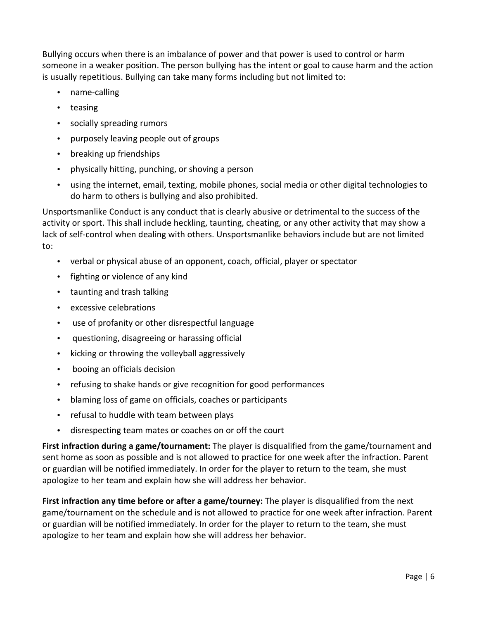Bullying occurs when there is an imbalance of power and that power is used to control or harm someone in a weaker position. The person bullying has the intent or goal to cause harm and the action is usually repetitious. Bullying can take many forms including but not limited to:

- name-calling
- teasing
- socially spreading rumors
- purposely leaving people out of groups
- breaking up friendships
- physically hitting, punching, or shoving a person
- using the internet, email, texting, mobile phones, social media or other digital technologies to do harm to others is bullying and also prohibited.

Unsportsmanlike Conduct is any conduct that is clearly abusive or detrimental to the success of the activity or sport. This shall include heckling, taunting, cheating, or any other activity that may show a lack of self-control when dealing with others. Unsportsmanlike behaviors include but are not limited to:

- verbal or physical abuse of an opponent, coach, official, player or spectator
- fighting or violence of any kind
- taunting and trash talking
- excessive celebrations
- use of profanity or other disrespectful language
- questioning, disagreeing or harassing official
- kicking or throwing the volleyball aggressively
- booing an officials decision
- refusing to shake hands or give recognition for good performances
- blaming loss of game on officials, coaches or participants
- refusal to huddle with team between plays
- disrespecting team mates or coaches on or off the court

**First infraction during a game/tournament:** The player is disqualified from the game/tournament and sent home as soon as possible and is not allowed to practice for one week after the infraction. Parent or guardian will be notified immediately. In order for the player to return to the team, she must apologize to her team and explain how she will address her behavior.

**First infraction any time before or after a game/tourney:** The player is disqualified from the next game/tournament on the schedule and is not allowed to practice for one week after infraction. Parent or guardian will be notified immediately. In order for the player to return to the team, she must apologize to her team and explain how she will address her behavior.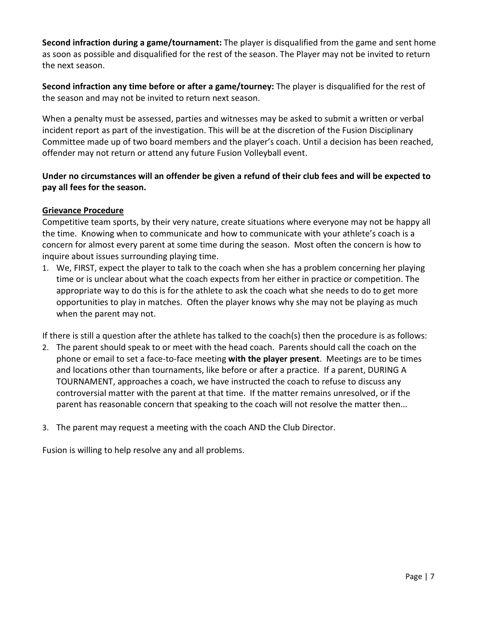**Second infraction during a game/tournament:** The player is disqualified from the game and sent home as soon as possible and disqualified for the rest of the season. The Player may not be invited to return the next season.

**Second infraction any time before or after a game/tourney:** The player is disqualified for the rest of the season and may not be invited to return next season.

When a penalty must be assessed, parties and witnesses may be asked to submit a written or verbal incident report as part of the investigation. This will be at the discretion of the Fusion Disciplinary Committee made up of two board members and the player's coach. Until a decision has been reached, offender may not return or attend any future Fusion Volleyball event.

# **Under no circumstances will an offender be given a refund of their club fees and will be expected to pay all fees for the season.**

## **Grievance Procedure**

Competitive team sports, by their very nature, create situations where everyone may not be happy all the time. Knowing when to communicate and how to communicate with your athlete's coach is a concern for almost every parent at some time during the season. Most often the concern is how to inquire about issues surrounding playing time.

1. We, FIRST, expect the player to talk to the coach when she has a problem concerning her playing time or is unclear about what the coach expects from her either in practice or competition. The appropriate way to do this is for the athlete to ask the coach what she needs to do to get more opportunities to play in matches. Often the player knows why she may not be playing as much when the parent may not.

If there is still a question after the athlete has talked to the coach(s) then the procedure is as follows:

- 2. The parent should speak to or meet with the head coach. Parents should call the coach on the phone or email to set a face-to-face meeting **with the player present**. Meetings are to be times and locations other than tournaments, like before or after a practice. If a parent, DURING A TOURNAMENT, approaches a coach, we have instructed the coach to refuse to discuss any controversial matter with the parent at that time. If the matter remains unresolved, or if the parent has reasonable concern that speaking to the coach will not resolve the matter then...
- 3. The parent may request a meeting with the coach AND the Club Director.

Fusion is willing to help resolve any and all problems.